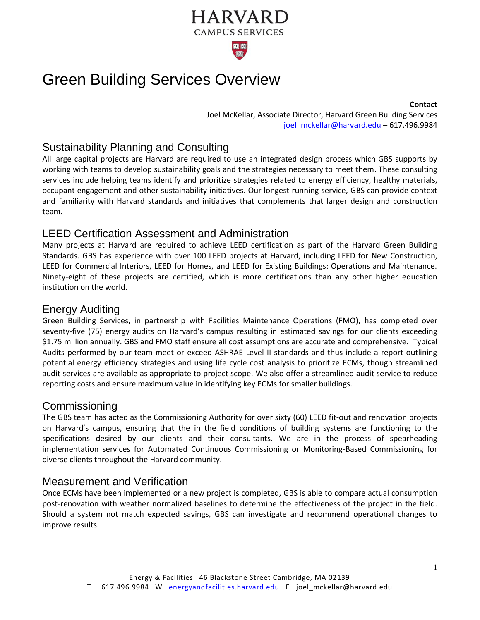# **HARVARD CAMPUS SERVICES 100t 100t**

# Green Building Services Overview

Joel McKellar, Associate Director, Harvard Green Building Services [joel\\_mckellar@harvard.edu](mailto:joel_mckellar@harvard.edu) - 617.496.9984

### Sustainability Planning and Consulting

All large capital projects are Harvard are required to use an integrated design process which GBS supports by working with teams to develop sustainability goals and the strategies necessary to meet them. These consulting services include helping teams identify and prioritize strategies related to energy efficiency, healthy materials, occupant engagement and other sustainability initiatives. Our longest running service, GBS can provide context and familiarity with Harvard standards and initiatives that complements that larger design and construction team.

#### LEED Certification Assessment and Administration

Many projects at Harvard are required to achieve LEED certification as part of the Harvard Green Building Standards. GBS has experience with over 100 LEED projects at Harvard, including LEED for New Construction, LEED for Commercial Interiors, LEED for Homes, and LEED for Existing Buildings: Operations and Maintenance. Ninety-eight of these projects are certified, which is more certifications than any other higher education institution on the world.

#### Energy Auditing

Green Building Services, in partnership with Facilities Maintenance Operations (FMO), has completed over seventy-five (75) energy audits on Harvard's campus resulting in estimated savings for our clients exceeding \$1.75 million annually. GBS and FMO staff ensure all cost assumptions are accurate and comprehensive. Typical Audits performed by our team meet or exceed ASHRAE Level II standards and thus include a report outlining potential energy efficiency strategies and using life cycle cost analysis to prioritize ECMs, though streamlined audit services are available as appropriate to project scope. We also offer a streamlined audit service to reduce reporting costs and ensure maximum value in identifying key ECMs for smaller buildings.

#### **Commissioning**

The GBS team has acted as the Commissioning Authority for over sixty (60) LEED fit-out and renovation projects on Harvard's campus, ensuring that the in the field conditions of building systems are functioning to the specifications desired by our clients and their consultants. We are in the process of spearheading implementation services for Automated Continuous Commissioning or Monitoring-Based Commissioning for diverse clients throughout the Harvard community.

#### Measurement and Verification

Once ECMs have been implemented or a new project is completed, GBS is able to compare actual consumption post-renovation with weather normalized baselines to determine the effectiveness of the project in the field. Should a system not match expected savings, GBS can investigate and recommend operational changes to improve results.